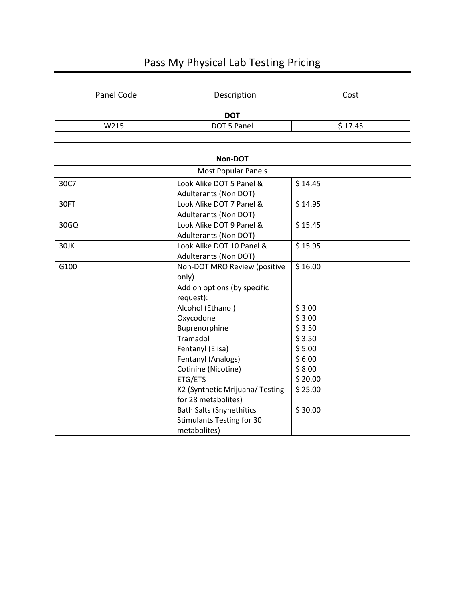| Panel Code | Description | <u>Cost</u> |  |  |
|------------|-------------|-------------|--|--|
| <b>DOT</b> |             |             |  |  |
| W215       | DOT 5 Panel | \$17.45     |  |  |

| Pass My Physical Lab Testing Pricing |  |  |
|--------------------------------------|--|--|
|--------------------------------------|--|--|

| Non-DOT                    |                                                        |         |  |
|----------------------------|--------------------------------------------------------|---------|--|
| <b>Most Popular Panels</b> |                                                        |         |  |
| 30C7                       | Look Alike DOT 5 Panel &<br>Adulterants (Non DOT)      | \$14.45 |  |
| 30FT                       | Look Alike DOT 7 Panel &<br>Adulterants (Non DOT)      | \$14.95 |  |
| 30GQ                       | Look Alike DOT 9 Panel &<br>Adulterants (Non DOT)      | \$15.45 |  |
| 30JK                       | Look Alike DOT 10 Panel &<br>Adulterants (Non DOT)     | \$15.95 |  |
| G100                       | Non-DOT MRO Review (positive<br>only)                  | \$16.00 |  |
|                            | Add on options (by specific<br>request):               |         |  |
|                            | Alcohol (Ethanol)                                      | \$3.00  |  |
|                            | Oxycodone                                              | \$3.00  |  |
|                            | Buprenorphine                                          | \$3.50  |  |
|                            | Tramadol                                               | \$3.50  |  |
|                            | Fentanyl (Elisa)                                       | \$5.00  |  |
|                            | Fentanyl (Analogs)                                     | \$6.00  |  |
|                            | Cotinine (Nicotine)                                    | \$8.00  |  |
|                            | ETG/ETS                                                | \$20.00 |  |
|                            | K2 (Synthetic Mrijuana/ Testing<br>for 28 metabolites) | \$25.00 |  |
|                            | <b>Bath Salts (Snynethitics</b>                        | \$30.00 |  |
|                            | <b>Stimulants Testing for 30</b>                       |         |  |
|                            | metabolites)                                           |         |  |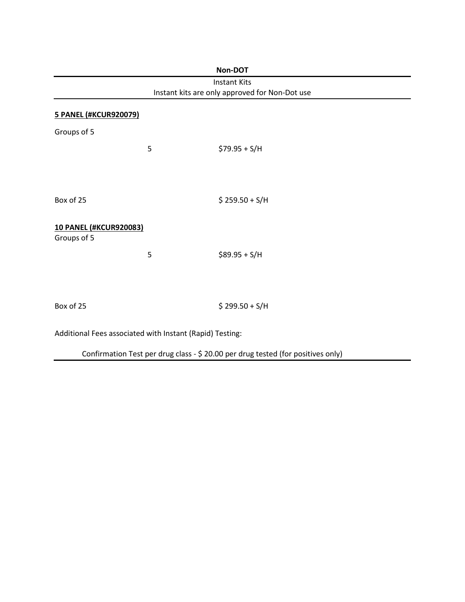| Non-DOT                                                               |   |                                                                                  |  |  |
|-----------------------------------------------------------------------|---|----------------------------------------------------------------------------------|--|--|
| <b>Instant Kits</b><br>Instant kits are only approved for Non-Dot use |   |                                                                                  |  |  |
|                                                                       |   |                                                                                  |  |  |
| Groups of 5                                                           |   |                                                                                  |  |  |
|                                                                       | 5 | $$79.95 + S/H$                                                                   |  |  |
|                                                                       |   |                                                                                  |  |  |
|                                                                       |   |                                                                                  |  |  |
| Box of 25                                                             |   | $$259.50 + S/H$                                                                  |  |  |
|                                                                       |   |                                                                                  |  |  |
| <b>10 PANEL (#KCUR920083)</b>                                         |   |                                                                                  |  |  |
| Groups of 5                                                           |   |                                                                                  |  |  |
|                                                                       | 5 | $$89.95 + S/H$                                                                   |  |  |
|                                                                       |   |                                                                                  |  |  |
|                                                                       |   |                                                                                  |  |  |
| Box of 25                                                             |   | $$299.50 + S/H$                                                                  |  |  |
| Additional Fees associated with Instant (Rapid) Testing:              |   |                                                                                  |  |  |
|                                                                       |   | Confirmation Test per drug class - \$ 20.00 per drug tested (for positives only) |  |  |